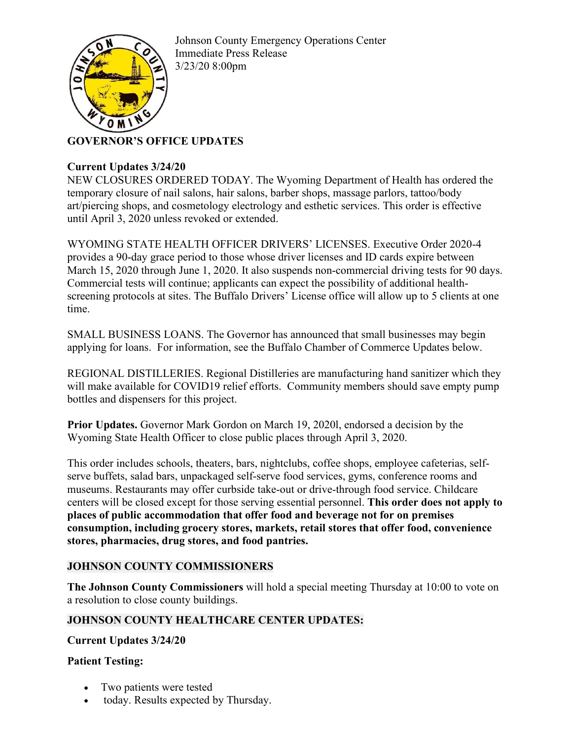

Johnson County Emergency Operations Center Immediate Press Release 3/23/20 8:00pm

# **GOVERNOR'S OFFICE UPDATES**

# **Current Updates 3/24/20**

NEW CLOSURES ORDERED TODAY. The Wyoming Department of Health has ordered the temporary closure of nail salons, hair salons, barber shops, massage parlors, tattoo/body art/piercing shops, and cosmetology electrology and esthetic services. This order is effective until April 3, 2020 unless revoked or extended.

WYOMING STATE HEALTH OFFICER DRIVERS' LICENSES. Executive Order 2020-4 provides a 90-day grace period to those whose driver licenses and ID cards expire between March 15, 2020 through June 1, 2020. It also suspends non-commercial driving tests for 90 days. Commercial tests will continue; applicants can expect the possibility of additional healthscreening protocols at sites. The Buffalo Drivers' License office will allow up to 5 clients at one time.

SMALL BUSINESS LOANS. The Governor has announced that small businesses may begin applying for loans. For information, see the Buffalo Chamber of Commerce Updates below.

REGIONAL DISTILLERIES. Regional Distilleries are manufacturing hand sanitizer which they will make available for COVID19 relief efforts. Community members should save empty pump bottles and dispensers for this project.

**Prior Updates.** Governor Mark Gordon on March 19, 2020l, endorsed a decision by the Wyoming State Health Officer to close public places through April 3, 2020.

This order includes schools, theaters, bars, nightclubs, coffee shops, employee cafeterias, selfserve buffets, salad bars, unpackaged self-serve food services, gyms, conference rooms and museums. Restaurants may offer curbside take-out or drive-through food service. Childcare centers will be closed except for those serving essential personnel. **This order does not apply to places of public accommodation that offer food and beverage not for on premises consumption, including grocery stores, markets, retail stores that offer food, convenience stores, pharmacies, drug stores, and food pantries.**

### **JOHNSON COUNTY COMMISSIONERS**

**The Johnson County Commissioners** will hold a special meeting Thursday at 10:00 to vote on a resolution to close county buildings.

### **JOHNSON COUNTY HEALTHCARE CENTER UPDATES:**

### **Current Updates 3/24/20**

### **Patient Testing:**

- Two patients were tested
- today. Results expected by Thursday.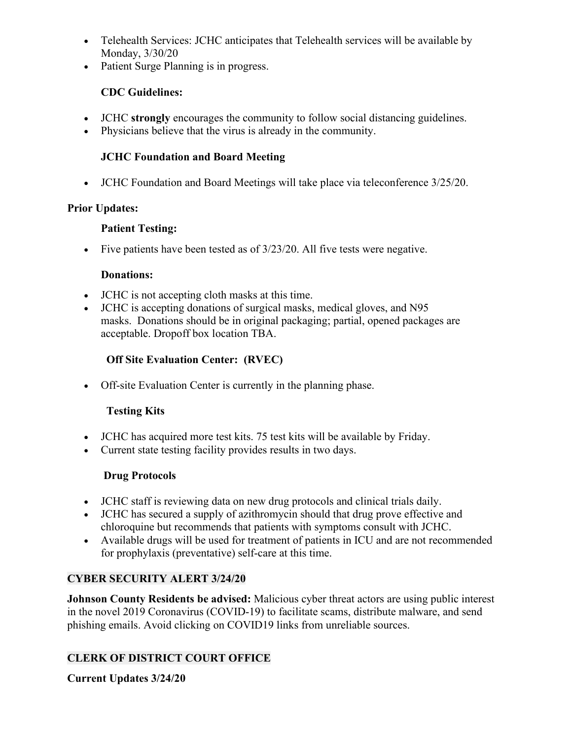- Telehealth Services: JCHC anticipates that Telehealth services will be available by Monday, 3/30/20
- Patient Surge Planning is in progress.

# **CDC Guidelines:**

- JCHC **strongly** encourages the community to follow social distancing guidelines.
- Physicians believe that the virus is already in the community.

## **JCHC Foundation and Board Meeting**

• JCHC Foundation and Board Meetings will take place via teleconference  $3/25/20$ .

## **Prior Updates:**

## **Patient Testing:**

• Five patients have been tested as of  $3/23/20$ . All five tests were negative.

### **Donations:**

- JCHC is not accepting cloth masks at this time.
- JCHC is accepting donations of surgical masks, medical gloves, and N95 masks. Donations should be in original packaging; partial, opened packages are acceptable. Dropoff box location TBA.

# **Off Site Evaluation Center: (RVEC)**

• Off-site Evaluation Center is currently in the planning phase.

# **Testing Kits**

- JCHC has acquired more test kits. 75 test kits will be available by Friday.
- Current state testing facility provides results in two days.

# **Drug Protocols**

- JCHC staff is reviewing data on new drug protocols and clinical trials daily.
- JCHC has secured a supply of azithromycin should that drug prove effective and chloroquine but recommends that patients with symptoms consult with JCHC.
- Available drugs will be used for treatment of patients in ICU and are not recommended for prophylaxis (preventative) self-care at this time.

# **CYBER SECURITY ALERT 3/24/20**

**Johnson County Residents be advised:** Malicious cyber threat actors are using public interest in the novel 2019 Coronavirus (COVID-19) to facilitate scams, distribute malware, and send phishing emails. Avoid clicking on COVID19 links from unreliable sources.

# **CLERK OF DISTRICT COURT OFFICE**

**Current Updates 3/24/20**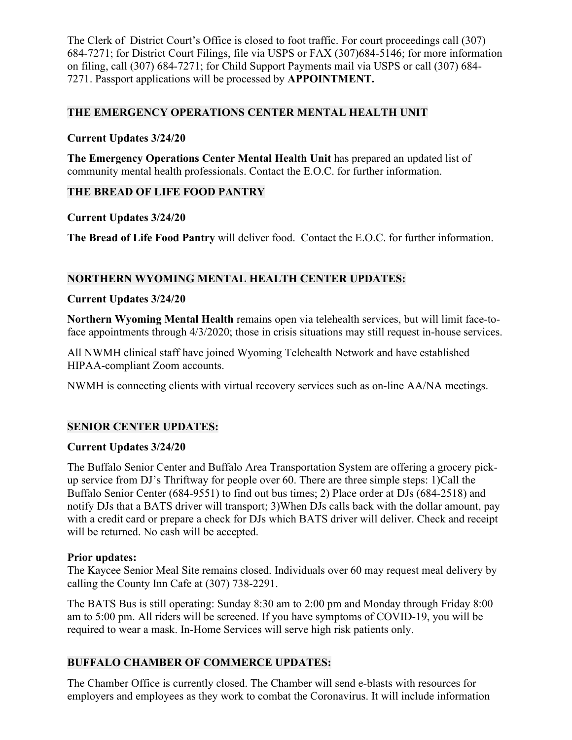The Clerk of District Court's Office is closed to foot traffic. For court proceedings call (307) 684-7271; for District Court Filings, file via USPS or FAX (307)684-5146; for more information on filing, call (307) 684-7271; for Child Support Payments mail via USPS or call (307) 684- 7271. Passport applications will be processed by **APPOINTMENT.**

#### **THE EMERGENCY OPERATIONS CENTER MENTAL HEALTH UNIT**

#### **Current Updates 3/24/20**

**The Emergency Operations Center Mental Health Unit has prepared an updated list of** community mental health professionals. Contact the E.O.C. for further information.

#### **THE BREAD OF LIFE FOOD PANTRY**

#### **Current Updates 3/24/20**

**The Bread of Life Food Pantry** will deliver food. Contact the E.O.C. for further information.

### **NORTHERN WYOMING MENTAL HEALTH CENTER UPDATES:**

#### **Current Updates 3/24/20**

**Northern Wyoming Mental Health** remains open via telehealth services, but will limit face-toface appointments through 4/3/2020; those in crisis situations may still request in-house services.

All NWMH clinical staff have joined Wyoming Telehealth Network and have established HIPAA-compliant Zoom accounts.

NWMH is connecting clients with virtual recovery services such as on-line AA/NA meetings.

### **SENIOR CENTER UPDATES:**

#### **Current Updates 3/24/20**

The Buffalo Senior Center and Buffalo Area Transportation System are offering a grocery pickup service from DJ's Thriftway for people over 60. There are three simple steps: 1)Call the Buffalo Senior Center (684-9551) to find out bus times; 2) Place order at DJs (684-2518) and notify DJs that a BATS driver will transport; 3)When DJs calls back with the dollar amount, pay with a credit card or prepare a check for DJs which BATS driver will deliver. Check and receipt will be returned. No cash will be accepted.

#### **Prior updates:**

The Kaycee Senior Meal Site remains closed. Individuals over 60 may request meal delivery by calling the County Inn Cafe at (307) 738-2291.

The BATS Bus is still operating: Sunday 8:30 am to 2:00 pm and Monday through Friday 8:00 am to 5:00 pm. All riders will be screened. If you have symptoms of COVID-19, you will be required to wear a mask. In-Home Services will serve high risk patients only.

### **BUFFALO CHAMBER OF COMMERCE UPDATES:**

The Chamber Office is currently closed. The Chamber will send e-blasts with resources for employers and employees as they work to combat the Coronavirus. It will include information